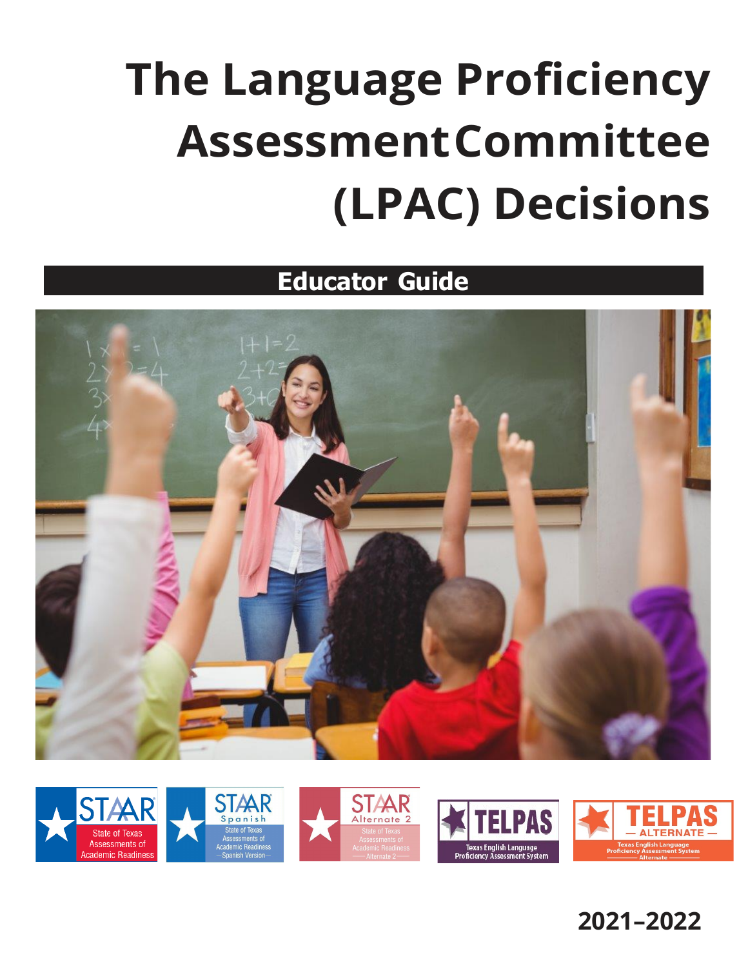# **The Language Proficiency AssessmentCommittee (LPAC) Decisions**

**Educator Guide**





**2021–2022**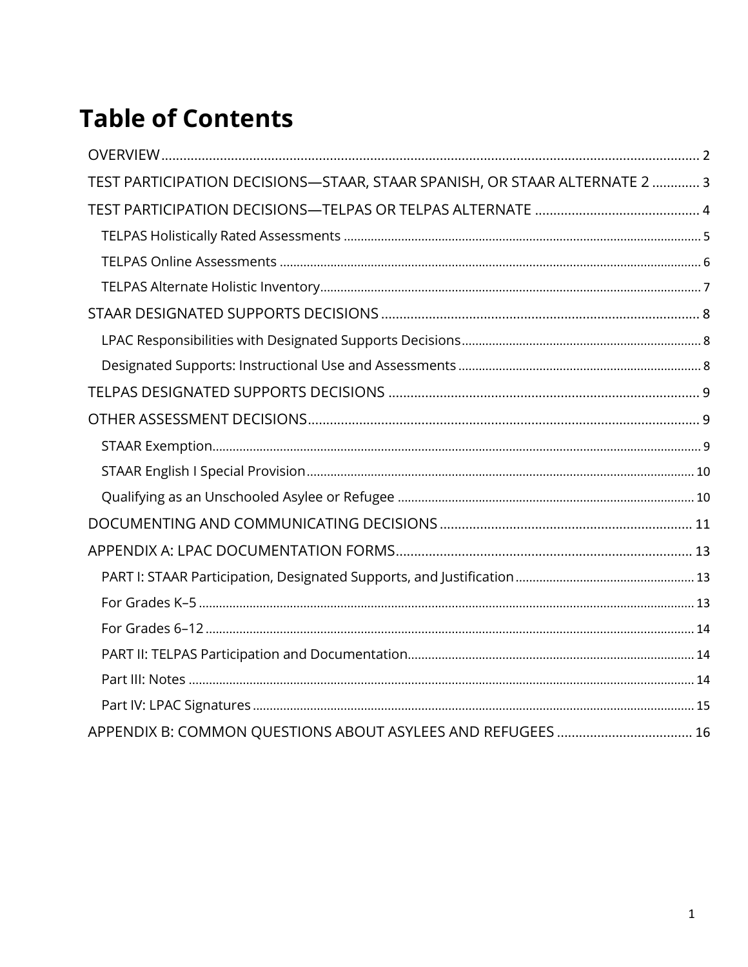### **Table of Contents**

| TEST PARTICIPATION DECISIONS-STAAR, STAAR SPANISH, OR STAAR ALTERNATE 2  3 |  |
|----------------------------------------------------------------------------|--|
|                                                                            |  |
|                                                                            |  |
|                                                                            |  |
|                                                                            |  |
|                                                                            |  |
|                                                                            |  |
|                                                                            |  |
|                                                                            |  |
|                                                                            |  |
|                                                                            |  |
|                                                                            |  |
|                                                                            |  |
|                                                                            |  |
|                                                                            |  |
|                                                                            |  |
|                                                                            |  |
|                                                                            |  |
|                                                                            |  |
|                                                                            |  |
|                                                                            |  |
|                                                                            |  |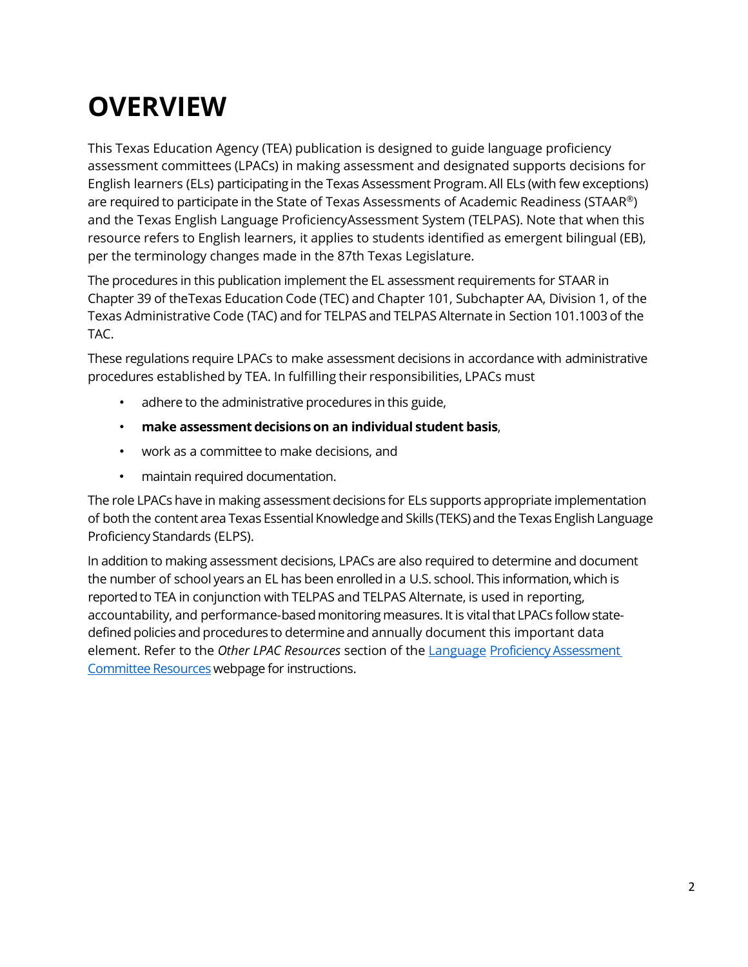### <span id="page-2-0"></span>**OVERVIEW**

This Texas Education Agency (TEA) publication is designed to guide language proficiency assessment committees (LPACs) in making assessment and designated supports decisions for English learners (ELs) participating in the Texas Assessment Program. All ELs (with few exceptions) are required to participate in the State of Texas Assessments of Academic Readiness (STAAR<sup>®</sup>) and the Texas English Language Proficiency Assessment System (TELPAS). Note that when this resource refers to English learners, it applies to students identified as emergent bilingual (EB), per the terminology changes made in the 87th Texas Legislature.

The procedures in this publication implement the EL assessment requirements for STAAR in Chapter 39 of theTexas Education Code (TEC) and Chapter 101, Subchapter AA, Division 1, of the Texas Administrative Code (TAC) and for TELPAS and TELPAS Alternate in Section 101.1003 of the TAC.

These regulations require LPACs to make assessment decisions in accordance with administrative procedures established by TEA. In fulfilling their responsibilities, LPACs must

- adhere to the administrative procedures in this guide,
- **make assessment decisions on an individual student basis**,
- work as a committee to make decisions, and
- maintain required documentation.

The role LPACs have in making assessment decisions for ELs supports appropriate implementation of both the content area Texas Essential Knowledge and Skills (TEKS) and the Texas English Language Proficiency Standards (ELPS).

In addition to making assessment decisions, LPACs are also required to determine and document the number of school years an EL has been enrolled in a U.S. school. This information, which is reported to TEA in conjunction with TELPAS and TELPAS Alternate, is used in reporting, accountability, and performance-based monitoring measures. It is vital that LPACs follow statedefined policies and procedures to determine and annually document this important data element. Refer to the *Other LPAC Resources* section of the Language Proficiency Assessment [Committee](https://tea.texas.gov/student.assessment/ell/lpac/) Resources webpage for instructions.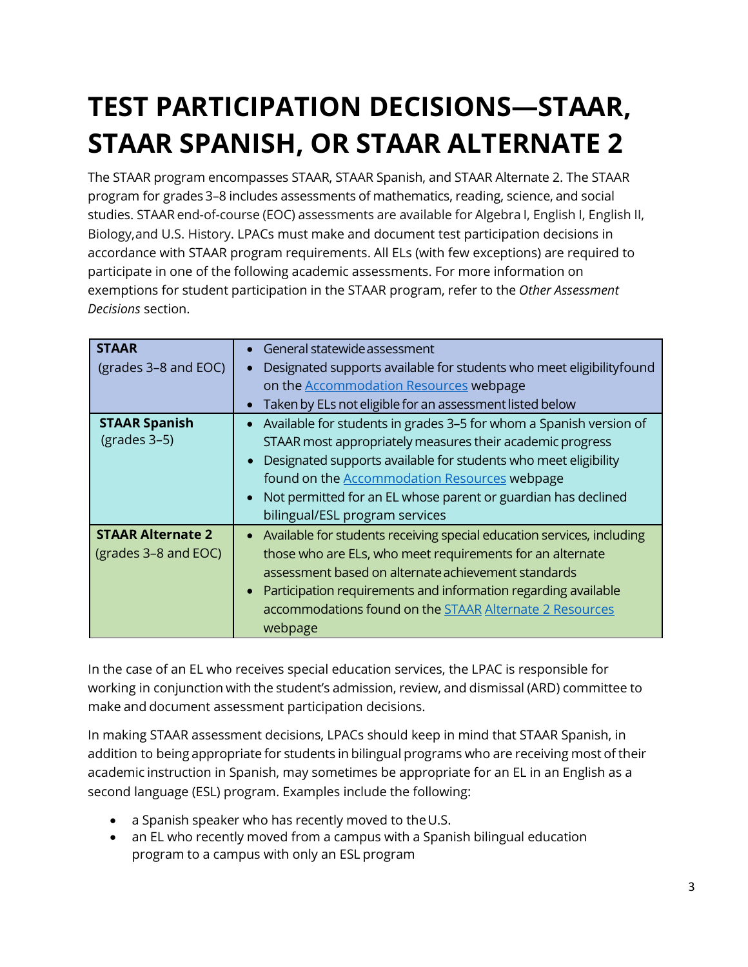### <span id="page-3-0"></span>**TEST PARTICIPATION DECISIONS—STAAR, STAAR SPANISH, OR STAAR ALTERNATE 2**

The STAAR program encompasses STAAR, STAAR Spanish, and STAAR Alternate 2. The STAAR program for grades 3–8 includes assessments of mathematics, reading, science, and social studies. STAAR end-of-course (EOC) assessments are available for Algebra I, English I, English II, Biology,and U.S. History. LPACs must make and document test participation decisions in accordance with STAAR program requirements. All ELs (with few exceptions) are required to participate in one of the following academic assessments. For more information on exemptions for student participation in the STAAR program, refer to the *Other Assessment Decisions* section.

| <b>STAAR</b>             | General statewide assessment                                                        |
|--------------------------|-------------------------------------------------------------------------------------|
| (grades 3-8 and EOC)     | Designated supports available for students who meet eligibility found               |
|                          | on the <b>Accommodation Resources</b> webpage                                       |
|                          | Taken by ELs not eligible for an assessment listed below<br>$\bullet$               |
| <b>STAAR Spanish</b>     | Available for students in grades 3-5 for whom a Spanish version of                  |
| $(grades 3-5)$           | STAAR most appropriately measures their academic progress                           |
|                          | Designated supports available for students who meet eligibility                     |
|                          | found on the <b>Accommodation Resources</b> webpage                                 |
|                          | Not permitted for an EL whose parent or guardian has declined                       |
|                          | bilingual/ESL program services                                                      |
| <b>STAAR Alternate 2</b> | Available for students receiving special education services, including<br>$\bullet$ |
| (grades 3-8 and EOC)     | those who are ELs, who meet requirements for an alternate                           |
|                          | assessment based on alternate achievement standards                                 |
|                          | Participation requirements and information regarding available                      |
|                          | accommodations found on the <b>STAAR Alternate 2 Resources</b>                      |
|                          | webpage                                                                             |

In the case of an EL who receives special education services, the LPAC is responsible for working in conjunction with the student's admission, review, and dismissal (ARD) committee to make and document assessment participation decisions.

In making STAAR assessment decisions, LPACs should keep in mind that STAAR Spanish, in addition to being appropriate for students in bilingual programs who are receiving most of their academic instruction in Spanish, may sometimes be appropriate for an EL in an English as a second language (ESL) program. Examples include the following:

- a Spanish speaker who has recently moved to the U.S.
- an EL who recently moved from a campus with a Spanish bilingual education program to a campus with only an ESL program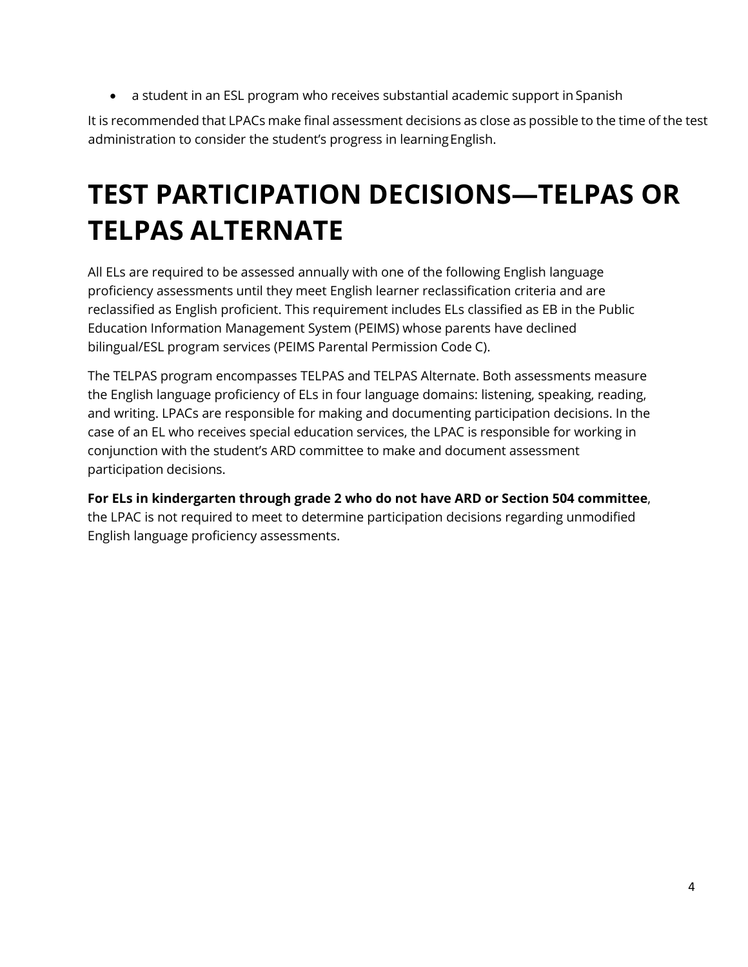• a student in an ESL program who receives substantial academic support in Spanish

It is recommended that LPACs make final assessment decisions as close as possible to the time of the test administration to consider the student's progress in learning English.

### <span id="page-4-0"></span>**TEST PARTICIPATION DECISIONS—TELPAS OR TELPAS ALTERNATE**

All ELs are required to be assessed annually with one of the following English language proficiency assessments until they meet English learner reclassification criteria and are reclassified as English proficient. This requirement includes ELs classified as EB in the Public Education Information Management System (PEIMS) whose parents have declined bilingual/ESL program services (PEIMS Parental Permission Code C).

The TELPAS program encompasses TELPAS and TELPAS Alternate. Both assessments measure the English language proficiency of ELs in four language domains: listening, speaking, reading, and writing. LPACs are responsible for making and documenting participation decisions. In the case of an EL who receives special education services, the LPAC is responsible for working in conjunction with the student's ARD committee to make and document assessment participation decisions.

**For ELs in kindergarten through grade 2 who do not have ARD or Section 504 committee**, the LPAC is not required to meet to determine participation decisions regarding unmodified English language proficiency assessments.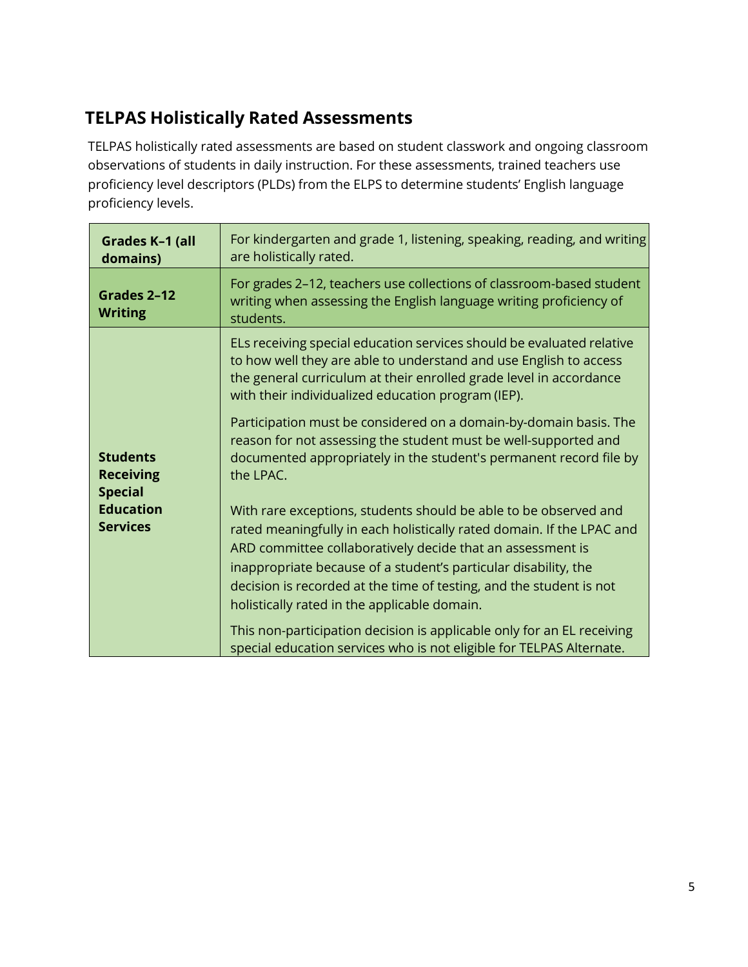#### <span id="page-5-0"></span>**TELPAS Holistically Rated Assessments**

TELPAS holistically rated assessments are based on student classwork and ongoing classroom observations of students in daily instruction. For these assessments, trained teachers use proficiency level descriptors (PLDs) from the ELPS to determine students' English language proficiency levels.

| Grades K-1 (all<br>domains)                           | For kindergarten and grade 1, listening, speaking, reading, and writing<br>are holistically rated.                                                                                                                                                                                                                                                                                                |
|-------------------------------------------------------|---------------------------------------------------------------------------------------------------------------------------------------------------------------------------------------------------------------------------------------------------------------------------------------------------------------------------------------------------------------------------------------------------|
| Grades 2-12<br><b>Writing</b>                         | For grades 2-12, teachers use collections of classroom-based student<br>writing when assessing the English language writing proficiency of<br>students.                                                                                                                                                                                                                                           |
|                                                       | ELs receiving special education services should be evaluated relative<br>to how well they are able to understand and use English to access<br>the general curriculum at their enrolled grade level in accordance<br>with their individualized education program (IEP).                                                                                                                            |
| <b>Students</b><br><b>Receiving</b><br><b>Special</b> | Participation must be considered on a domain-by-domain basis. The<br>reason for not assessing the student must be well-supported and<br>documented appropriately in the student's permanent record file by<br>the LPAC.                                                                                                                                                                           |
| <b>Education</b><br><b>Services</b>                   | With rare exceptions, students should be able to be observed and<br>rated meaningfully in each holistically rated domain. If the LPAC and<br>ARD committee collaboratively decide that an assessment is<br>inappropriate because of a student's particular disability, the<br>decision is recorded at the time of testing, and the student is not<br>holistically rated in the applicable domain. |
|                                                       | This non-participation decision is applicable only for an EL receiving<br>special education services who is not eligible for TELPAS Alternate.                                                                                                                                                                                                                                                    |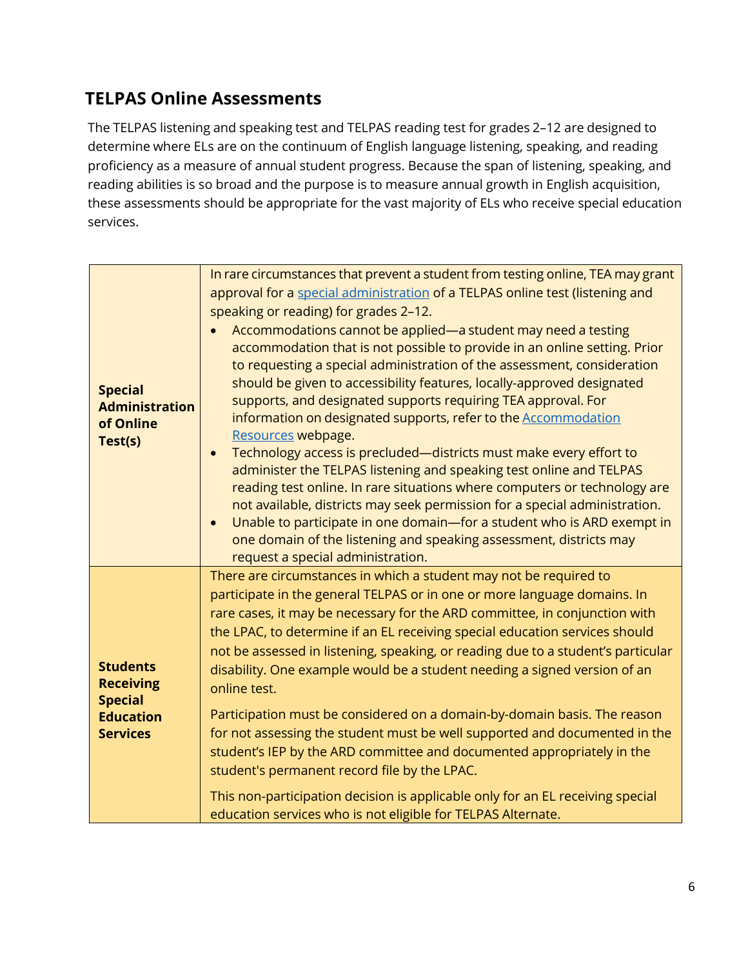#### <span id="page-6-0"></span>**TELPAS Online Assessments**

The TELPAS listening and speaking test and TELPAS reading test for grades 2–12 are designed to determine where ELs are on the continuum of English language listening, speaking, and reading proficiency as a measure of annual student progress. Because the span of listening, speaking, and reading abilities is so broad and the purpose is to measure annual growth in English acquisition, these assessments should be appropriate for the vast majority of ELs who receive special education services.

|                                                                 | In rare circumstances that prevent a student from testing online, TEA may grant<br>approval for a special administration of a TELPAS online test (listening and                                                                                                                                                                                                                                                                                                                                                                                                                                                                                                                                                                                                                                                                                                                                                                                                                 |
|-----------------------------------------------------------------|---------------------------------------------------------------------------------------------------------------------------------------------------------------------------------------------------------------------------------------------------------------------------------------------------------------------------------------------------------------------------------------------------------------------------------------------------------------------------------------------------------------------------------------------------------------------------------------------------------------------------------------------------------------------------------------------------------------------------------------------------------------------------------------------------------------------------------------------------------------------------------------------------------------------------------------------------------------------------------|
|                                                                 | speaking or reading) for grades 2-12.                                                                                                                                                                                                                                                                                                                                                                                                                                                                                                                                                                                                                                                                                                                                                                                                                                                                                                                                           |
| <b>Special</b><br><b>Administration</b><br>of Online<br>Test(s) | Accommodations cannot be applied—a student may need a testing<br>accommodation that is not possible to provide in an online setting. Prior<br>to requesting a special administration of the assessment, consideration<br>should be given to accessibility features, locally-approved designated<br>supports, and designated supports requiring TEA approval. For<br>information on designated supports, refer to the Accommodation<br>Resources webpage.<br>Technology access is precluded-districts must make every effort to<br>$\bullet$<br>administer the TELPAS listening and speaking test online and TELPAS<br>reading test online. In rare situations where computers or technology are<br>not available, districts may seek permission for a special administration.<br>Unable to participate in one domain-for a student who is ARD exempt in<br>$\bullet$<br>one domain of the listening and speaking assessment, districts may<br>request a special administration. |
| <b>Students</b><br><b>Receiving</b><br><b>Special</b>           | There are circumstances in which a student may not be required to<br>participate in the general TELPAS or in one or more language domains. In<br>rare cases, it may be necessary for the ARD committee, in conjunction with<br>the LPAC, to determine if an EL receiving special education services should<br>not be assessed in listening, speaking, or reading due to a student's particular<br>disability. One example would be a student needing a signed version of an<br>online test.                                                                                                                                                                                                                                                                                                                                                                                                                                                                                     |
| <b>Education</b><br><b>Services</b>                             | Participation must be considered on a domain-by-domain basis. The reason<br>for not assessing the student must be well supported and documented in the<br>student's IEP by the ARD committee and documented appropriately in the<br>student's permanent record file by the LPAC.                                                                                                                                                                                                                                                                                                                                                                                                                                                                                                                                                                                                                                                                                                |
|                                                                 | This non-participation decision is applicable only for an EL receiving special<br>education services who is not eligible for TELPAS Alternate.                                                                                                                                                                                                                                                                                                                                                                                                                                                                                                                                                                                                                                                                                                                                                                                                                                  |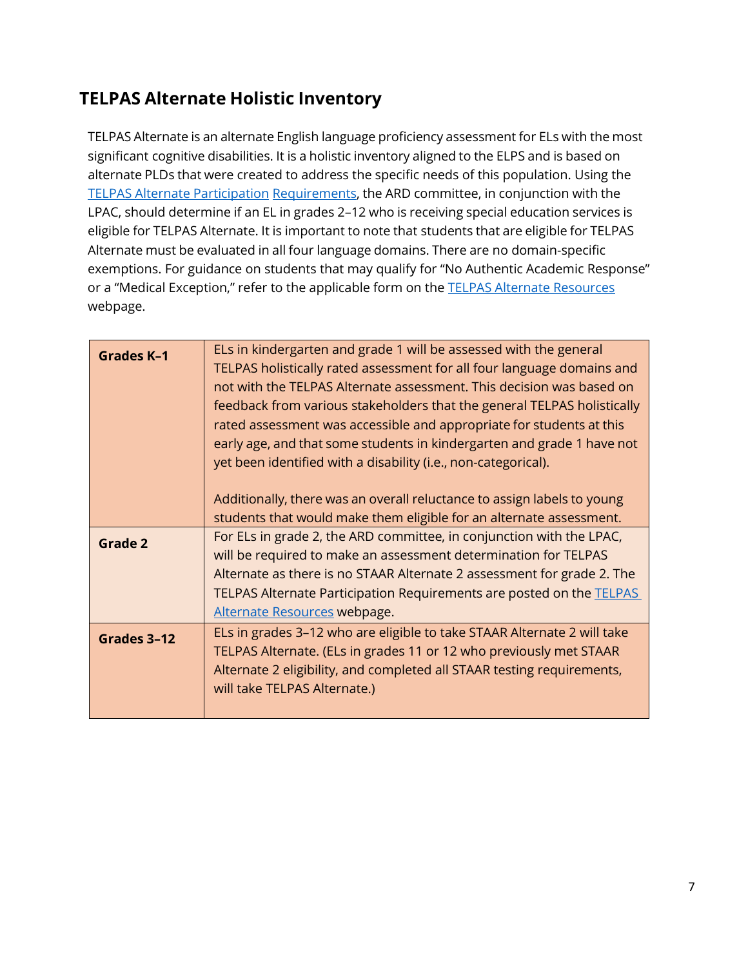#### <span id="page-7-0"></span>**TELPAS Alternate Holistic Inventory**

TELPAS Alternate is an alternate English language proficiency assessment for ELs with the most significant cognitive disabilities. It is a holistic inventory aligned to the ELPS and is based on alternate PLDs that were created to address the specific needs of this population. Using the [TELPAS Alternate Participation](https://tea.texas.gov/student-assessment/testing/telpas/telpas-alternate-resources) Requirements, the ARD committee, in conjunction with the LPAC, should determine if an EL in grades 2–12 who is receiving special education services is eligible for TELPAS Alternate. It is important to note that students that are eligible for TELPAS Alternate must be evaluated in all four language domains. There are no domain-specific exemptions. For guidance on students that may qualify for "No Authentic Academic Response" or a "Medical Exception," refer to the applicable form on the **TELPAS Alternate Resources** webpage.

| <b>Grades K-1</b> | ELs in kindergarten and grade 1 will be assessed with the general<br>TELPAS holistically rated assessment for all four language domains and<br>not with the TELPAS Alternate assessment. This decision was based on<br>feedback from various stakeholders that the general TELPAS holistically<br>rated assessment was accessible and appropriate for students at this<br>early age, and that some students in kindergarten and grade 1 have not<br>yet been identified with a disability (i.e., non-categorical). |  |  |  |  |  |
|-------------------|--------------------------------------------------------------------------------------------------------------------------------------------------------------------------------------------------------------------------------------------------------------------------------------------------------------------------------------------------------------------------------------------------------------------------------------------------------------------------------------------------------------------|--|--|--|--|--|
|                   | Additionally, there was an overall reluctance to assign labels to young<br>students that would make them eligible for an alternate assessment.                                                                                                                                                                                                                                                                                                                                                                     |  |  |  |  |  |
| Grade 2           | For ELs in grade 2, the ARD committee, in conjunction with the LPAC,<br>will be required to make an assessment determination for TELPAS<br>Alternate as there is no STAAR Alternate 2 assessment for grade 2. The<br>TELPAS Alternate Participation Requirements are posted on the TELPAS<br>Alternate Resources webpage.                                                                                                                                                                                          |  |  |  |  |  |
| Grades 3-12       | ELs in grades 3-12 who are eligible to take STAAR Alternate 2 will take<br>TELPAS Alternate. (ELs in grades 11 or 12 who previously met STAAR<br>Alternate 2 eligibility, and completed all STAAR testing requirements,<br>will take TELPAS Alternate.)                                                                                                                                                                                                                                                            |  |  |  |  |  |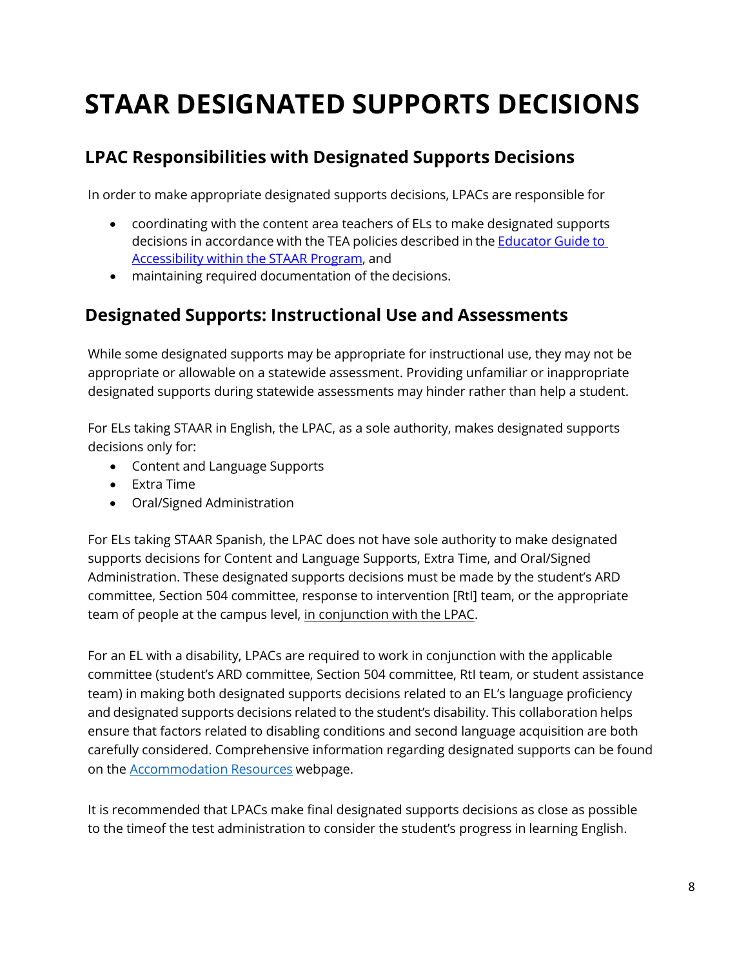### <span id="page-8-0"></span>**STAAR DESIGNATED SUPPORTS DECISIONS**

#### <span id="page-8-1"></span>**LPAC Responsibilities with Designated Supports Decisions**

In order to make appropriate designated supports decisions, LPACs are responsible for

- coordinating with the content area teachers of ELs to make designated supports decisions in accordance with the TEA policies described in the **Educator Guide to** [Accessibility](https://tea.texas.gov/accommodations/) within the STAAR Program, and
- maintaining required documentation of the decisions.

#### <span id="page-8-2"></span>**Designated Supports: Instructional Use and Assessments**

While some designated supports may be appropriate for instructional use, they may not be appropriate or allowable on a statewide assessment. Providing unfamiliar or inappropriate designated supports during statewide assessments may hinder rather than help a student.

For ELs taking STAAR in English, the LPAC, as a sole authority, makes designated supports decisions only for:

- Content and Language Supports
- Extra Time
- Oral/Signed Administration

For ELs taking STAAR Spanish, the LPAC does not have sole authority to make designated supports decisions for Content and Language Supports, Extra Time, and Oral/Signed Administration. These designated supports decisions must be made by the student's ARD committee, Section 504 committee, response to intervention [RtI] team, or the appropriate team of people at the campus level, in conjunction with the LPAC.

For an EL with a disability, LPACs are required to work in conjunction with the applicable committee (student's ARD committee, Section 504 committee, RtI team, or student assistance team) in making both designated supports decisions related to an EL's language proficiency and designated supports decisions related to the student's disability. This collaboration helps ensure that factors related to disabling conditions and second language acquisition are both carefully considered. Comprehensive information regarding designated supports can be found on the [Accommodation](https://tea.texas.gov/student-assessment/testing/student-assessment-overview/accommodation-resources) Resources webpage.

It is recommended that LPACs make final designated supports decisions as close as possible to the timeof the test administration to consider the student's progress in learning English.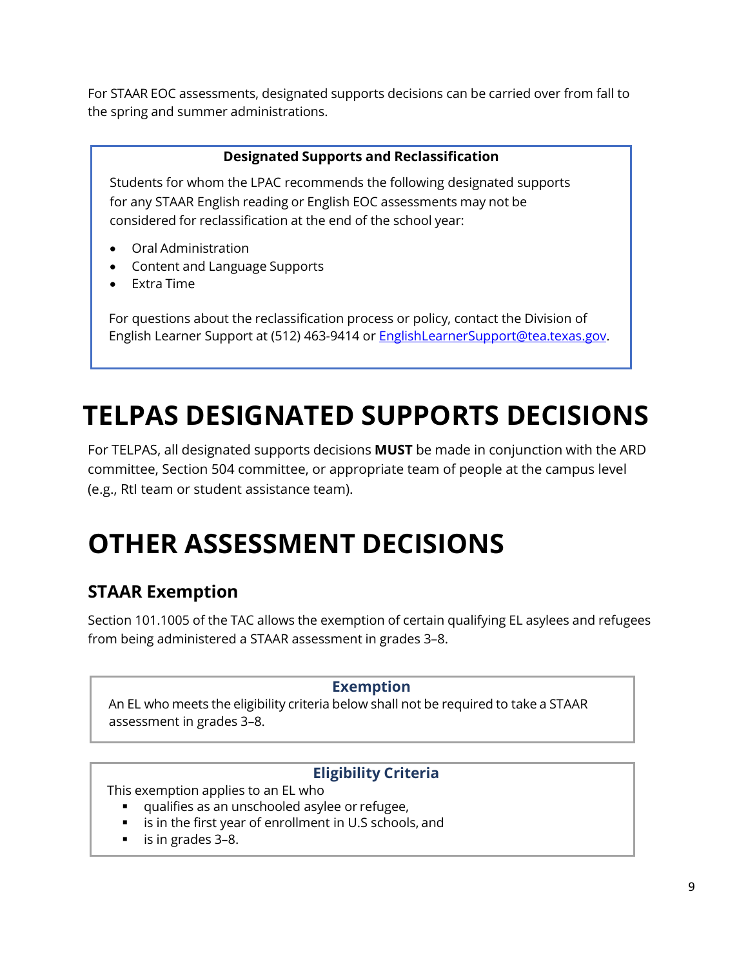For STAAR EOC assessments, designated supports decisions can be carried over from fall to the spring and summer administrations.

#### **Designated Supports and Reclassification**

Students for whom the LPAC recommends the following designated supports for any STAAR English reading or English EOC assessments may not be considered for reclassification at the end of the school year:

- Oral Administration
- Content and Language Supports
- Extra Time

For questions about the reclassification process or policy, contact the Division of English Learner Support at (512) 463-9414 or [EnglishLearnerSupport@tea.texas.gov.](mailto:EnglishLearnerSupport@tea.texas.gov)

### <span id="page-9-0"></span>**TELPAS DESIGNATED SUPPORTS DECISIONS**

For TELPAS, all designated supports decisions **MUST** be made in conjunction with the ARD committee, Section 504 committee, or appropriate team of people at the campus level (e.g., RtI team or student assistance team).

### <span id="page-9-1"></span>**OTHER ASSESSMENT DECISIONS**

#### <span id="page-9-2"></span>**STAAR Exemption**

Section 101.1005 of the TAC allows the exemption of certain qualifying EL asylees and refugees from being administered a STAAR assessment in grades 3–8.

#### **Exemption**

An EL who meets the eligibility criteria below shall not be required to take a STAAR assessment in grades 3–8.

#### **Eligibility Criteria**

This exemption applies to an EL who

- qualifies as an unschooled asylee or refugee,
- is in the first year of enrollment in U.S schools, and
- is in grades 3–8.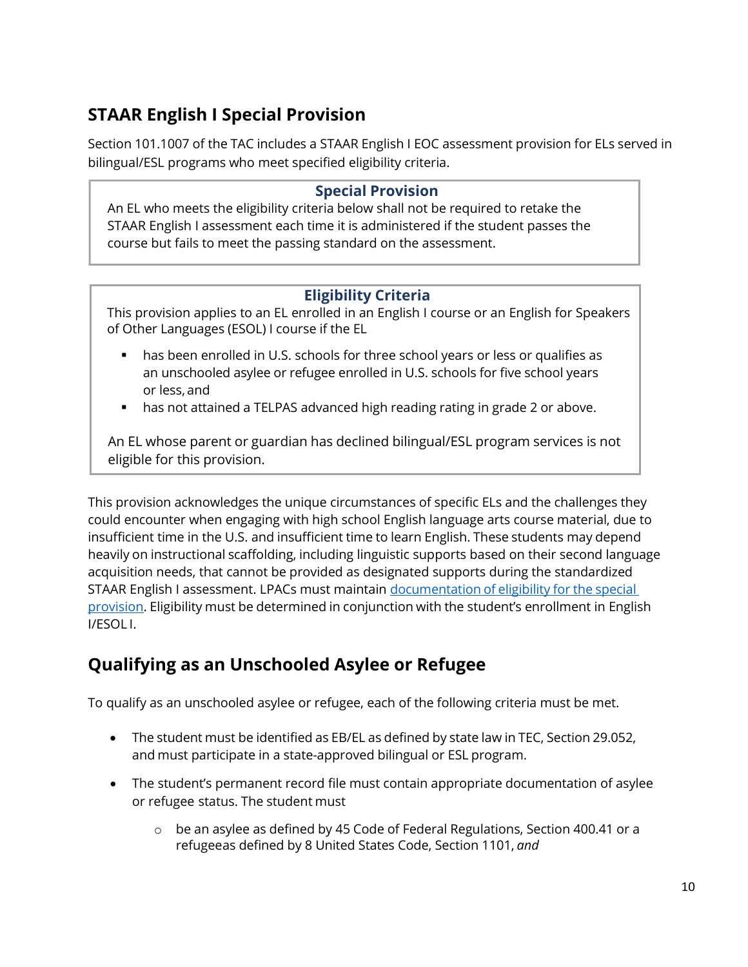#### <span id="page-10-0"></span>**STAAR English I Special Provision**

Section 101.1007 of the TAC includes a STAAR English I EOC assessment provision for ELs served in bilingual/ESL programs who meet specified eligibility criteria.

#### **Special Provision**

An EL who meets the eligibility criteria below shall not be required to retake the STAAR English I assessment each time it is administered if the student passes the course but fails to meet the passing standard on the assessment.

#### **Eligibility Criteria**

This provision applies to an EL enrolled in an English I course or an English for Speakers of Other Languages (ESOL) I course if the EL

- has been enrolled in U.S. schools for three school years or less or qualifies as an unschooled asylee or refugee enrolled in U.S. schools for five school years or less, and
- has not attained a TELPAS advanced high reading rating in grade 2 or above.

An EL whose parent or guardian has declined bilingual/ESL program services is not eligible for this provision.

This provision acknowledges the unique circumstances of specific ELs and the challenges they could encounter when engaging with high school English language arts course material, due to insufficient time in the U.S. and insufficient time to learn English. These students may depend heavily on instructional scaffolding, including linguistic supports based on their second language acquisition needs, that cannot be provided as designated supports during the standardized STAAR English I assessment. LPACs must maintain [documentation](https://tea.texas.gov/student.assessment/ell/lpac/) of eligibility for the special [provision. E](https://tea.texas.gov/student.assessment/ell/lpac/)ligibility must be determined in conjunction with the student's enrollment in English I/ESOL I.

#### <span id="page-10-1"></span>**Qualifying as an Unschooled Asylee or Refugee**

To qualify as an unschooled asylee or refugee, each of the following criteria must be met.

- The student must be identified as EB/EL as defined by state law in TEC, Section 29.052, and must participate in a state-approved bilingual or ESL program.
- The student's permanent record file must contain appropriate documentation of asylee or refugee status. The student must
	- $\circ$  be an asylee as defined by 45 Code of Federal Regulations, Section 400.41 or a refugeeas defined by 8 United States Code, Section 1101, *and*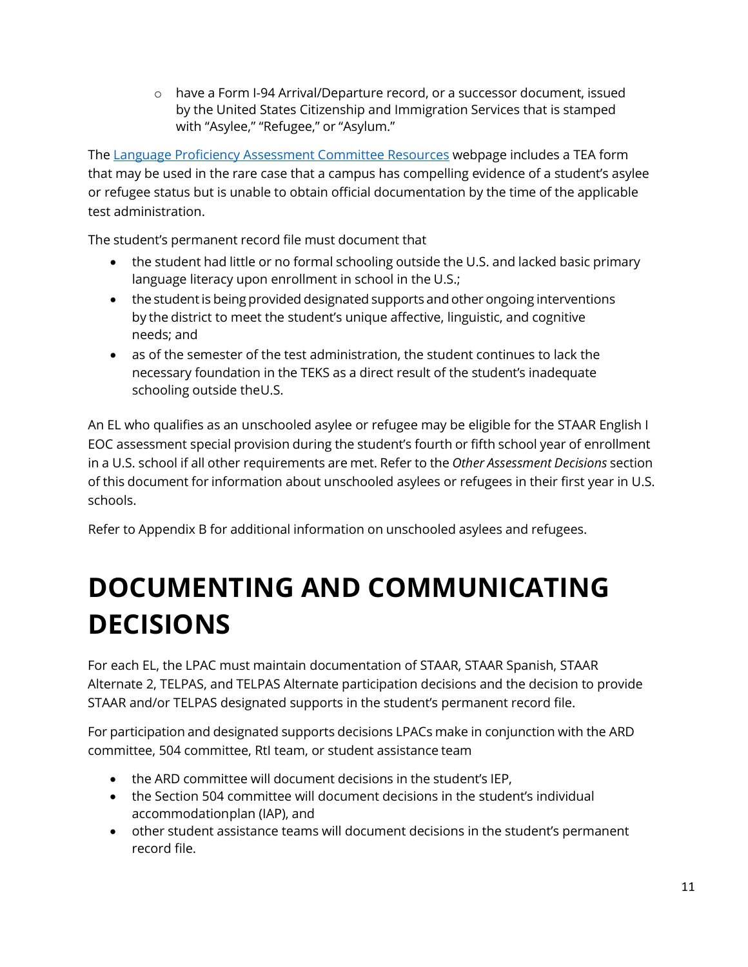o have a Form I-94 Arrival/Departure record, or a successor document, issued by the United States Citizenship and Immigration Services that is stamped with "Asylee," "Refugee," or "Asylum."

The [Language Proficiency Assessment Committee Resources](https://tea.texas.gov/student-assessment/testing/student-assessment-overview/accommodation-resources/language-proficiency-assessment-committee-resources) webpage includes a TEA form that may be used in the rare case that a campus has compelling evidence of a student's asylee or refugee status but is unable to obtain official documentation by the time of the applicable test administration.

The student's permanent record file must document that

- the student had little or no formal schooling outside the U.S. and lacked basic primary language literacy upon enrollment in school in the U.S.;
- the student is being provided designated supports and other ongoing interventions by the district to meet the student's unique affective, linguistic, and cognitive needs; and
- as of the semester of the test administration, the student continues to lack the necessary foundation in the TEKS as a direct result of the student's inadequate schooling outside theU.S.

An EL who qualifies as an unschooled asylee or refugee may be eligible for the STAAR English I EOC assessment special provision during the student's fourth or fifth school year of enrollment in a U.S. school if all other requirements are met. Refer to the *Other Assessment Decisions* section of this document for information about unschooled asylees or refugees in their first year in U.S. schools.

Refer to Appendix B for additional information on unschooled asylees and refugees.

### <span id="page-11-0"></span>**DOCUMENTING AND COMMUNICATING DECISIONS**

For each EL, the LPAC must maintain documentation of STAAR, STAAR Spanish, STAAR Alternate 2, TELPAS, and TELPAS Alternate participation decisions and the decision to provide STAAR and/or TELPAS designated supports in the student's permanent record file.

For participation and designated supports decisions LPACs make in conjunction with the ARD committee, 504 committee, RtI team, or student assistance team

- the ARD committee will document decisions in the student's IEP,
- the Section 504 committee will document decisions in the student's individual accommodationplan (IAP), and
- other student assistance teams will document decisions in the student's permanent record file.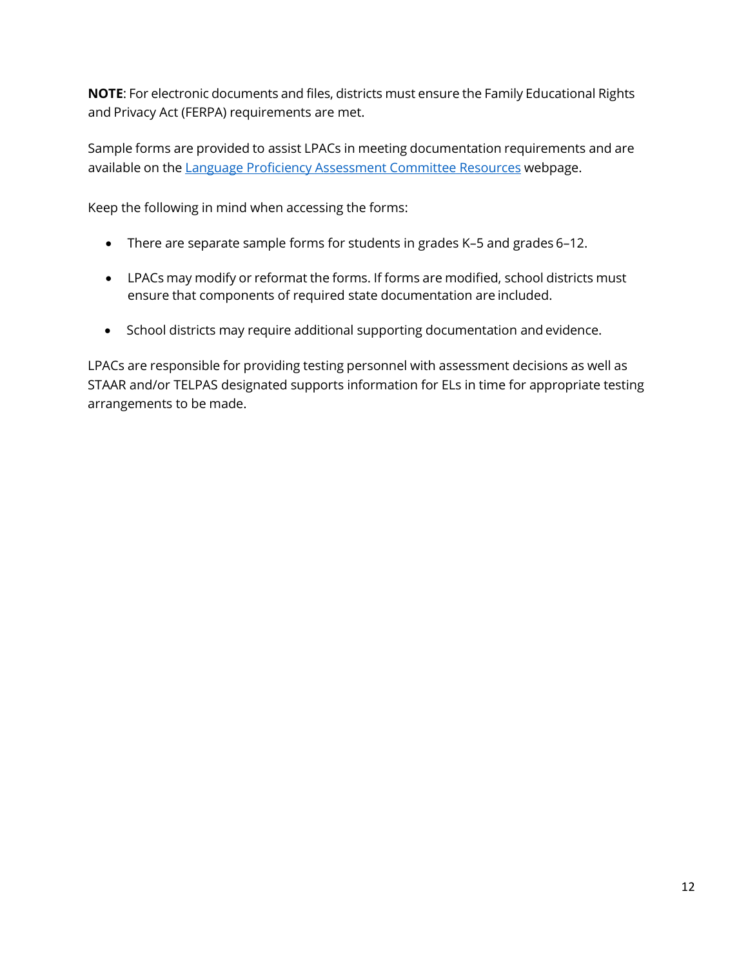**NOTE**: For electronic documents and files, districts must ensure the Family Educational Rights and Privacy Act (FERPA) requirements are met.

Sample forms are provided to assist LPACs in meeting documentation requirements and are available on th[e Language Proficiency Assessment](https://tea.texas.gov/student.assessment/ell/lpac/) Committee Resources webpage.

Keep the following in mind when accessing the forms:

- There are separate sample forms for students in grades K–5 and grades 6–12.
- LPACs may modify or reformat the forms. If forms are modified, school districts must ensure that components of required state documentation are included.
- School districts may require additional supporting documentation and evidence.

LPACs are responsible for providing testing personnel with assessment decisions as well as STAAR and/or TELPAS designated supports information for ELs in time for appropriate testing arrangements to be made.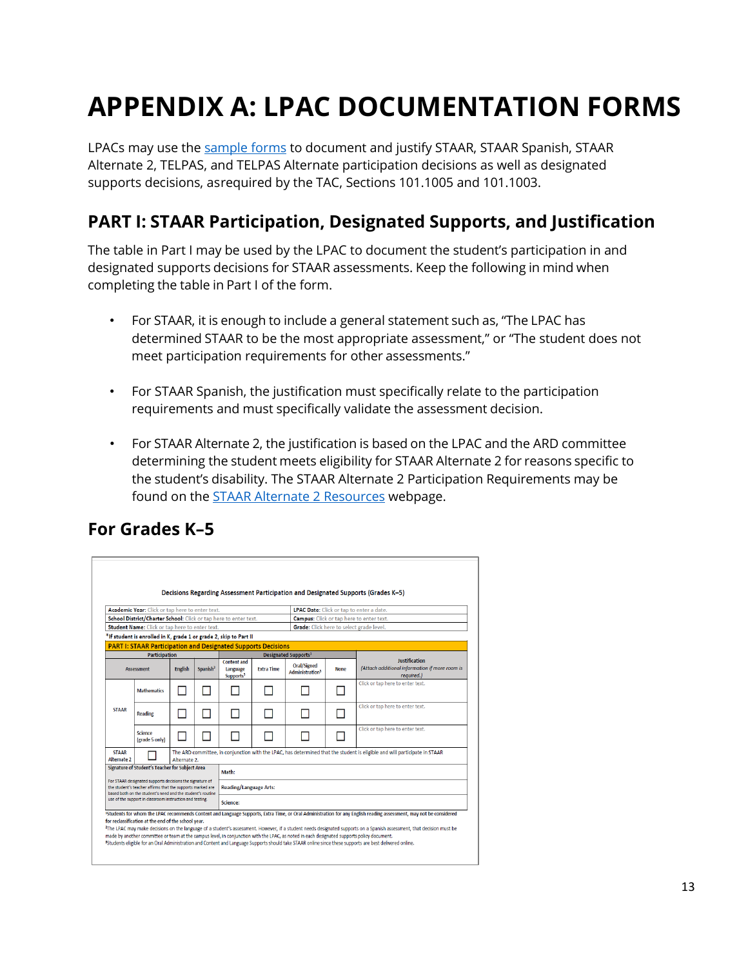#### <span id="page-13-1"></span>**PART I: STAAR Participation, Designated Supports, and Justification**

- For STAAR, it is enough to include a general statement such as, "The LPAC has determined STAAR to be the most appropriate assessment," or "The student does not meet participation requirements for other assessments."
- For STAAR Spanish, the justification must specifically relate to the participation requirements and must specifically validate the assessment decision.
- For STAAR Alternate 2, the justification is based on the LPAC and the ARD committee determining the student meets eligibility for STAAR Alternate 2 for reasons specific to the student's disability. The STAAR Alternate 2 Participation Requirements may be found on the [STAAR Alternate 2 Resources](https://tea.texas.gov/student.assessment/special-ed/staaralt/) webpage.

#### <span id="page-13-2"></span>**For Grades K–5**

<span id="page-13-0"></span>

|                                                                                                                                                                                                                       |                                                                                                                                           |                |                      |                                                         |                   |                                                                                                                                            |             | supports decisions, asreguired by the TAC, Sections 101.1005 and 101.1003.                                                                                                                                                                                                                                                                                                                                                                                                                                                                   | LPACs may use the <u>sample forms</u> to document and justify STAAR, STAAR Spanish, STAAR<br>Alternate 2, TELPAS, and TELPAS Alternate participation decisions as well as designated |
|-----------------------------------------------------------------------------------------------------------------------------------------------------------------------------------------------------------------------|-------------------------------------------------------------------------------------------------------------------------------------------|----------------|----------------------|---------------------------------------------------------|-------------------|--------------------------------------------------------------------------------------------------------------------------------------------|-------------|----------------------------------------------------------------------------------------------------------------------------------------------------------------------------------------------------------------------------------------------------------------------------------------------------------------------------------------------------------------------------------------------------------------------------------------------------------------------------------------------------------------------------------------------|--------------------------------------------------------------------------------------------------------------------------------------------------------------------------------------|
|                                                                                                                                                                                                                       |                                                                                                                                           |                |                      |                                                         |                   |                                                                                                                                            |             |                                                                                                                                                                                                                                                                                                                                                                                                                                                                                                                                              | PART I: STAAR Participation, Designated Supports, and Justification                                                                                                                  |
|                                                                                                                                                                                                                       |                                                                                                                                           |                |                      |                                                         |                   | completing the table in Part I of the form.                                                                                                |             |                                                                                                                                                                                                                                                                                                                                                                                                                                                                                                                                              | The table in Part I may be used by the LPAC to document the student's participation in and<br>designated supports decisions for STAAR assessments. Keep the following in mind when   |
|                                                                                                                                                                                                                       |                                                                                                                                           |                |                      |                                                         |                   |                                                                                                                                            |             | meet participation requirements for other assessments."                                                                                                                                                                                                                                                                                                                                                                                                                                                                                      | For STAAR, it is enough to include a general statement such as, "The LPAC has<br>determined STAAR to be the most appropriate assessment," or "The student does not                   |
|                                                                                                                                                                                                                       |                                                                                                                                           |                |                      |                                                         |                   |                                                                                                                                            |             | requirements and must specifically validate the assessment decision.                                                                                                                                                                                                                                                                                                                                                                                                                                                                         | For STAAR Spanish, the justification must specifically relate to the participation                                                                                                   |
|                                                                                                                                                                                                                       | <b>For Grades K-5</b>                                                                                                                     |                |                      |                                                         |                   |                                                                                                                                            |             | Decisions Regarding Assessment Participation and Designated Supports (Grades K-5)                                                                                                                                                                                                                                                                                                                                                                                                                                                            |                                                                                                                                                                                      |
|                                                                                                                                                                                                                       | Academic Year: Click or tap here to enter text.                                                                                           |                |                      |                                                         |                   |                                                                                                                                            |             | LPAC Date: Click or tap to enter a date.                                                                                                                                                                                                                                                                                                                                                                                                                                                                                                     |                                                                                                                                                                                      |
|                                                                                                                                                                                                                       | School District/Charter School: Click or tap here to enter text.<br>Student Name: Click or tap here to enter text.                        |                |                      |                                                         |                   |                                                                                                                                            |             | <b>Campus:</b> Click or tap here to enter text.<br>Grade: Click here to select grade level.                                                                                                                                                                                                                                                                                                                                                                                                                                                  |                                                                                                                                                                                      |
|                                                                                                                                                                                                                       | *If student is enrolled in K, grade 1 or grade 2, skip to Part II<br><b>PART I: STAAR Participation and Designated Supports Decisions</b> |                |                      |                                                         |                   |                                                                                                                                            |             |                                                                                                                                                                                                                                                                                                                                                                                                                                                                                                                                              |                                                                                                                                                                                      |
|                                                                                                                                                                                                                       | <b>Participation</b><br><b>Assessment</b>                                                                                                 | <b>English</b> | Spanish <sup>2</sup> | <b>Content and</b><br>Language<br>Supports <sup>3</sup> | <b>Extra Time</b> | Designated Supports <sup>1</sup><br>Oral/Signed<br>Administration <sup>3</sup>                                                             | <b>None</b> | <b>Justification</b><br>(Attach additional information if more room is<br>required.)                                                                                                                                                                                                                                                                                                                                                                                                                                                         |                                                                                                                                                                                      |
|                                                                                                                                                                                                                       | <b>Mathematics</b>                                                                                                                        |                | Ш                    | $\Box$                                                  |                   | ш                                                                                                                                          |             | Click or tap here to enter text.                                                                                                                                                                                                                                                                                                                                                                                                                                                                                                             |                                                                                                                                                                                      |
| <b>STAAR</b>                                                                                                                                                                                                          | <b>Reading</b>                                                                                                                            |                | ш                    | M.                                                      | ш                 | П                                                                                                                                          |             | Click or tap here to enter text.                                                                                                                                                                                                                                                                                                                                                                                                                                                                                                             |                                                                                                                                                                                      |
|                                                                                                                                                                                                                       | <b>Science</b><br>(grade 5 only)                                                                                                          |                | ш                    | ٦                                                       |                   |                                                                                                                                            |             | Click or tap here to enter text.                                                                                                                                                                                                                                                                                                                                                                                                                                                                                                             |                                                                                                                                                                                      |
| <b>STAAR</b><br>Alternate 2                                                                                                                                                                                           |                                                                                                                                           | Alternate 2.   |                      |                                                         |                   |                                                                                                                                            |             | The ARD committee, in conjunction with the LPAC, has determined that the student is eligible and will participate in STAAR                                                                                                                                                                                                                                                                                                                                                                                                                   |                                                                                                                                                                                      |
|                                                                                                                                                                                                                       | Signature of Student's Teacher for Subject Area                                                                                           |                |                      | Math:                                                   |                   |                                                                                                                                            |             |                                                                                                                                                                                                                                                                                                                                                                                                                                                                                                                                              |                                                                                                                                                                                      |
| For STAAR designated supports decisions the signature of<br><b>Reading/Language Arts:</b><br>the student's teacher affirms that the supports marked are<br>based both on the student's need and the student's routine |                                                                                                                                           |                |                      |                                                         |                   |                                                                                                                                            |             |                                                                                                                                                                                                                                                                                                                                                                                                                                                                                                                                              |                                                                                                                                                                                      |
|                                                                                                                                                                                                                       |                                                                                                                                           |                |                      | Science:                                                |                   |                                                                                                                                            |             |                                                                                                                                                                                                                                                                                                                                                                                                                                                                                                                                              |                                                                                                                                                                                      |
| use of the support in classroom instruction and testing.                                                                                                                                                              |                                                                                                                                           |                |                      |                                                         |                   |                                                                                                                                            |             |                                                                                                                                                                                                                                                                                                                                                                                                                                                                                                                                              |                                                                                                                                                                                      |
|                                                                                                                                                                                                                       | for reclassification at the end of the school year.                                                                                       |                |                      |                                                         |                   | made by another committee or team at the campus level, in conjunction with the LPAC, as noted in each designated supports policy document. |             | <sup>1</sup> Students for whom the LPAC recommends Content and Language Supports, Extra Time, or Oral Administration for any English reading assessment, may not be considered<br><sup>2</sup> The LPAC may make decisions on the language of a student's assessment. However, if a student needs designated supports on a Spanish assessment, that decision must be<br><sup>3</sup> Students eligible for an Oral Administration and Content and Language Supports should take STAAR online since these supports are best delivered online. |                                                                                                                                                                                      |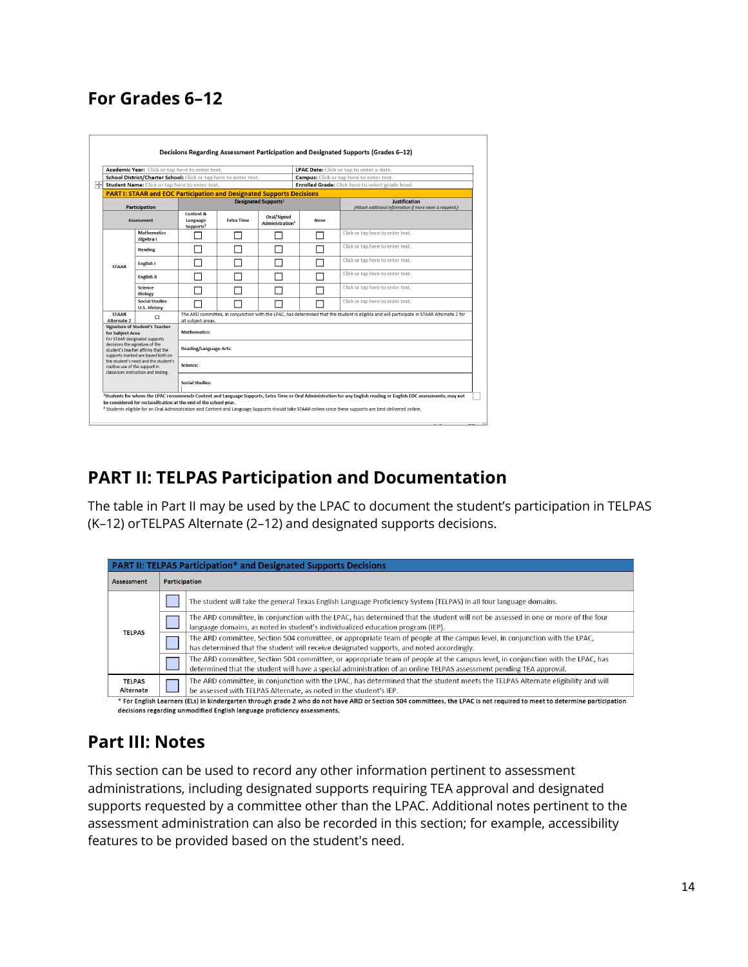#### <span id="page-14-0"></span>**For Grades 6–12**

|                                                                                                                                                                                                                                                                                                                        | Academic Year: Click or tap here to enter text.                              |                                                                                                                                                                  |  |                                            |      | LPAC Date: Click or tap to enter a date.                                   |  |  |  |
|------------------------------------------------------------------------------------------------------------------------------------------------------------------------------------------------------------------------------------------------------------------------------------------------------------------------|------------------------------------------------------------------------------|------------------------------------------------------------------------------------------------------------------------------------------------------------------|--|--------------------------------------------|------|----------------------------------------------------------------------------|--|--|--|
|                                                                                                                                                                                                                                                                                                                        | School District/Charter School: Click or tap here to enter text.             |                                                                                                                                                                  |  |                                            |      | <b>Campus:</b> Click or tap here to enter text.                            |  |  |  |
|                                                                                                                                                                                                                                                                                                                        | Student Name: Click or tap here to enter text.                               |                                                                                                                                                                  |  |                                            |      | <b>Enrolled Grade:</b> Click here to select grade level.                   |  |  |  |
|                                                                                                                                                                                                                                                                                                                        | <b>PART I: STAAR and EOC Participation and Designated Supports Decisions</b> |                                                                                                                                                                  |  |                                            |      |                                                                            |  |  |  |
|                                                                                                                                                                                                                                                                                                                        | Participation                                                                |                                                                                                                                                                  |  | <b>Designated Supports<sup>1</sup></b>     |      | Justification<br>(Attach additional information if more room is required.) |  |  |  |
|                                                                                                                                                                                                                                                                                                                        | <b>Assessment</b>                                                            | Content &<br><b>Extra Time</b><br>Language<br>Supports <sup>2</sup>                                                                                              |  | Oral/Signed<br>Administration <sup>2</sup> | None |                                                                            |  |  |  |
|                                                                                                                                                                                                                                                                                                                        | <b>Mathematics</b><br>Algebra I                                              |                                                                                                                                                                  |  |                                            |      | Click or tap here to enter text.                                           |  |  |  |
|                                                                                                                                                                                                                                                                                                                        | <b>Reading</b>                                                               |                                                                                                                                                                  |  |                                            |      | Click or tap here to enter text.                                           |  |  |  |
| <b>STAAR</b>                                                                                                                                                                                                                                                                                                           | English I                                                                    |                                                                                                                                                                  |  |                                            |      | Click or tap here to enter text.                                           |  |  |  |
|                                                                                                                                                                                                                                                                                                                        | English II                                                                   |                                                                                                                                                                  |  |                                            |      | Click or tap here to enter text.                                           |  |  |  |
|                                                                                                                                                                                                                                                                                                                        | Science<br><b>Biology</b>                                                    |                                                                                                                                                                  |  |                                            |      | Click or tap here to enter text.                                           |  |  |  |
|                                                                                                                                                                                                                                                                                                                        | <b>Social Studies</b><br>U.S. History                                        |                                                                                                                                                                  |  |                                            |      | Click or tap here to enter text.                                           |  |  |  |
| <b>STAAR</b><br>Alternate 2                                                                                                                                                                                                                                                                                            | $\Box$                                                                       | The ARD committee, in conjunction with the LPAC, has determined that the student is eligible and will participate in STAAR Alternate 2 for<br>all subject areas. |  |                                            |      |                                                                            |  |  |  |
| <b>Signature of Student's Teacher</b><br>for Subject Area<br>For STAAR designated supports<br>decisions the signature of the<br>student's teacher affirms that the<br>supports marked are based both on<br>the student's need and the student's<br>routine use of the support in<br>classroom instruction and testing. |                                                                              | <b>Mathematics:</b>                                                                                                                                              |  |                                            |      |                                                                            |  |  |  |
|                                                                                                                                                                                                                                                                                                                        |                                                                              | <b>Reading/Language Arts:</b>                                                                                                                                    |  |                                            |      |                                                                            |  |  |  |
|                                                                                                                                                                                                                                                                                                                        |                                                                              | Science:                                                                                                                                                         |  |                                            |      |                                                                            |  |  |  |
|                                                                                                                                                                                                                                                                                                                        |                                                                              | <b>Social Studies:</b>                                                                                                                                           |  |                                            |      |                                                                            |  |  |  |

#### **PART II: TELPAS Participation and Documentation**

The table in Part II may be used by the LPAC to document the student's participation in TELPAS (K–12) orTELPAS Alternate (2–12) and designated supports decisions.

| <b>PART II: TELPAS Participation* and Designated Supports Decisions</b>                                                                                                 |               |                                                                                                                                                                                                                                                       |  |  |  |  |  |  |  |  |  |
|-------------------------------------------------------------------------------------------------------------------------------------------------------------------------|---------------|-------------------------------------------------------------------------------------------------------------------------------------------------------------------------------------------------------------------------------------------------------|--|--|--|--|--|--|--|--|--|
| Assessment                                                                                                                                                              | Participation |                                                                                                                                                                                                                                                       |  |  |  |  |  |  |  |  |  |
|                                                                                                                                                                         |               | The student will take the general Texas English Language Proficiency System (TELPAS) in all four language domains.                                                                                                                                    |  |  |  |  |  |  |  |  |  |
| <b>TELPAS</b>                                                                                                                                                           |               | The ARD committee, in conjunction with the LPAC, has determined that the student will not be assessed in one or more of the four<br>language domains, as noted in student's individualized education program (IEP).                                   |  |  |  |  |  |  |  |  |  |
|                                                                                                                                                                         |               | The ARD committee, Section 504 committee, or appropriate team of people at the campus level, in conjunction with the LPAC.<br>has determined that the student will receive designated supports, and noted accordingly.                                |  |  |  |  |  |  |  |  |  |
|                                                                                                                                                                         |               | The ARD committee, Section 504 committee, or appropriate team of people at the campus level, in conjunction with the LPAC, has<br>determined that the student will have a special administration of an online TELPAS assessment pending TEA approval. |  |  |  |  |  |  |  |  |  |
| <b>TELPAS</b><br>Alternate                                                                                                                                              |               | The ARD committee, in conjunction with the LPAC, has determined that the student meets the TELPAS Alternate eligibility and will<br>be assessed with TELPAS Alternate, as noted in the student's IEP.                                                 |  |  |  |  |  |  |  |  |  |
| * For English Learners (ELs) in kindergarten through grade 2 who do not have ARD or Section 504 committees, the LPAC is not required to meet to determine participation |               |                                                                                                                                                                                                                                                       |  |  |  |  |  |  |  |  |  |

### decisions regarding unmodified English language proficiency assessments.

#### **Part III: Notes**

This section can be used to record any other information pertinent to assessment administrations, including designated supports requiring TEA approval and designated supports requested by a committee other than the LPAC. Additional notes pertinent to the assessment administration can also be recorded in this section; for example, accessibility features to be provided based on the student's need.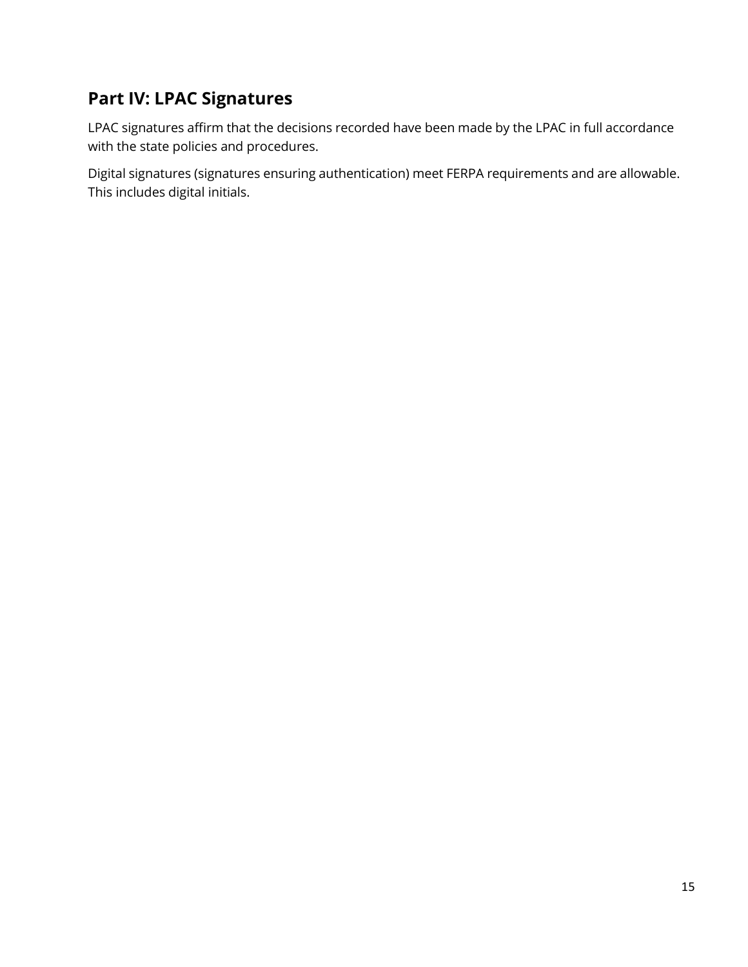#### <span id="page-15-0"></span>**Part IV: LPAC Signatures**

LPAC signatures affirm that the decisions recorded have been made by the LPAC in full accordance with the state policies and procedures.

Digital signatures (signatures ensuring authentication) meet FERPA requirements and are allowable. This includes digital initials.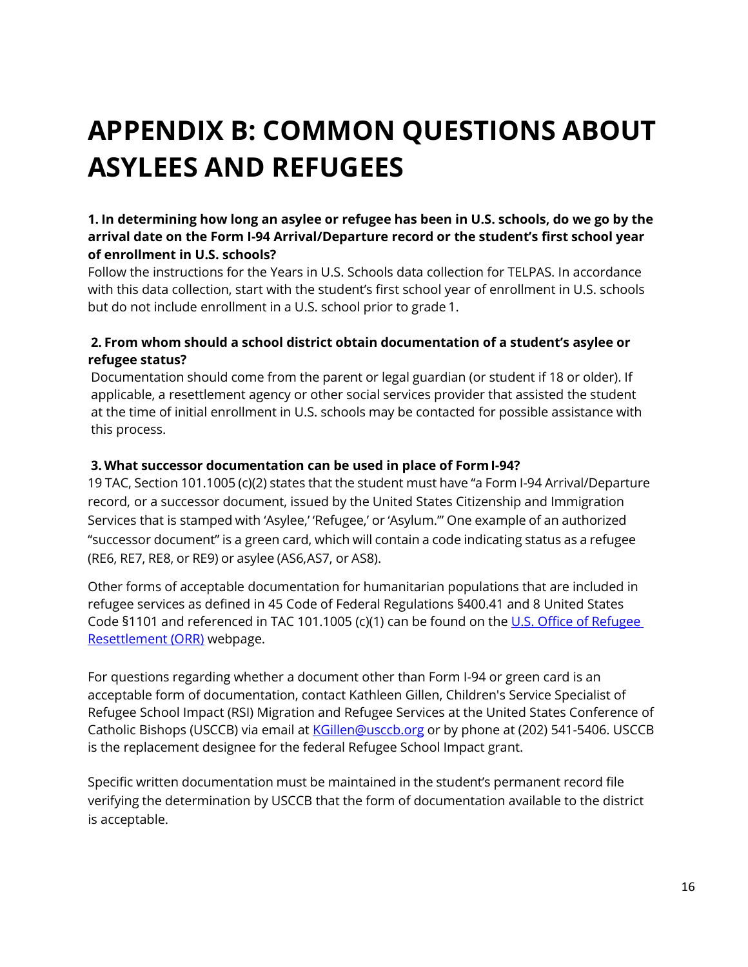### <span id="page-16-0"></span>**APPENDIX B: COMMON QUESTIONS ABOUT ASYLEES AND REFUGEES**

#### **1. In determining how long an asylee or refugee has been in U.S. schools, do we go by the arrival date on the Form I-94 Arrival/Departure record or the student's first school year of enrollment in U.S. schools?**

Follow the instructions for the Years in U.S. Schools data collection for TELPAS. In accordance with this data collection, start with the student's first school year of enrollment in U.S. schools but do not include enrollment in a U.S. school prior to grade 1.

#### **2. From whom should a school district obtain documentation of a student's asylee or refugee status?**

Documentation should come from the parent or legal guardian (or student if 18 or older). If applicable, a resettlement agency or other social services provider that assisted the student at the time of initial enrollment in U.S. schools may be contacted for possible assistance with this process.

#### **3. What successor documentation can be used in place of Form I-94?**

19 TAC, Section 101.1005 (c)(2) states that the student must have "a Form I-94 Arrival/Departure record, or a successor document, issued by the United States Citizenship and Immigration Services that is stamped with 'Asylee,' 'Refugee,' or 'Asylum.'" One example of an authorized "successor document" is a green card, which will contain a code indicating status as a refugee (RE6, RE7, RE8, or RE9) or asylee (AS6,AS7, or AS8).

Other forms of acceptable documentation for humanitarian populations that are included in refugee services as defined in 45 Code of Federal Regulations §400.41 and 8 United States Code §1101 and referenced in TAC 101.1005 (c)(1) can be found on the [U.S. Office of Refugee](https://www.acf.hhs.gov/orr/policy-guidance/status-and-documentation-requirements-orr-refugee-resettlement-program)  [Resettlement \(ORR\)](https://www.acf.hhs.gov/orr/policy-guidance/status-and-documentation-requirements-orr-refugee-resettlement-program) webpage.

For questions regarding whether a document other than Form I-94 or green card is an acceptable form of documentation, contact Kathleen Gillen, Children's Service Specialist of Refugee School Impact (RSI) Migration and Refugee Services at the United States Conference of Catholic Bishops (USCCB) via email at [KGillen@usccb.org](mailto:KGillen@usccb.org) or by phone at (202) 541-5406. USCCB is the replacement designee for the federal Refugee School Impact grant.

Specific written documentation must be maintained in the student's permanent record file verifying the determination by USCCB that the form of documentation available to the district is acceptable.